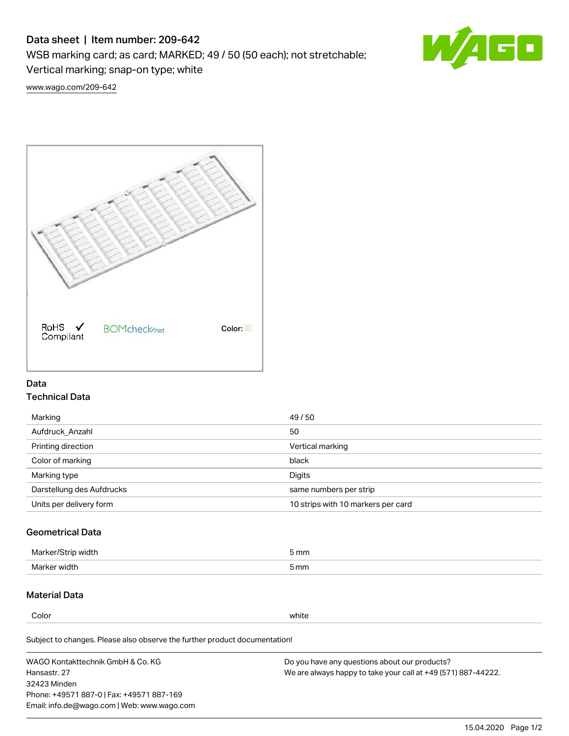# Data sheet | Item number: 209-642

WSB marking card; as card; MARKED; 49 / 50 (50 each); not stretchable;

Vertical marking; snap-on type; white

60

[www.wago.com/209-642](http://www.wago.com/209-642)



### Data Technical Data

| Marking                   | 49/50                              |
|---------------------------|------------------------------------|
| Aufdruck Anzahl           | 50                                 |
| Printing direction        | Vertical marking                   |
| Color of marking          | black                              |
| Marking type              | Digits                             |
| Darstellung des Aufdrucks | same numbers per strip             |
| Units per delivery form   | 10 strips with 10 markers per card |

## Geometrical Data

| width<br>Marker/ | mm   |
|------------------|------|
| Marker width     | 5 mm |

### Material Data

Color white

Subject to changes. Please also observe the further product documentation!

WAGO Kontakttechnik GmbH & Co. KG Hansastr. 27 32423 Minden Phone: +49571 887-0 | Fax: +49571 887-169 Email: info.de@wago.com | Web: www.wago.com Do you have any questions about our products? We are always happy to take your call at +49 (571) 887-44222.